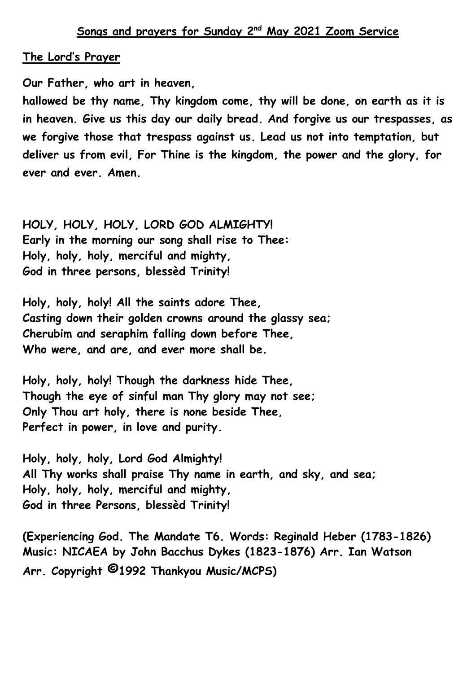## **The Lord's Prayer**

**Our Father, who art in heaven,** 

**hallowed be thy name, Thy kingdom come, thy will be done, on earth as it is in heaven. Give us this day our daily bread. And forgive us our trespasses, as we forgive those that trespass against us. Lead us not into temptation, but deliver us from evil, For Thine is the kingdom, the power and the glory, for ever and ever. Amen.**

**HOLY, HOLY, HOLY, LORD GOD ALMIGHTY! Early in the morning our song shall rise to Thee: Holy, holy, holy, merciful and mighty, God in three persons, blessèd Trinity!**

**Holy, holy, holy! All the saints adore Thee, Casting down their golden crowns around the glassy sea; Cherubim and seraphim falling down before Thee, Who were, and are, and ever more shall be.**

**Holy, holy, holy! Though the darkness hide Thee, Though the eye of sinful man Thy glory may not see; Only Thou art holy, there is none beside Thee, Perfect in power, in love and purity.**

**Holy, holy, holy, Lord God Almighty! All Thy works shall praise Thy name in earth, and sky, and sea; Holy, holy, holy, merciful and mighty, God in three Persons, blessèd Trinity!**

**(Experiencing God. The Mandate T6. Words: Reginald Heber (1783-1826) Music: NICAEA by John Bacchus Dykes (1823-1876) Arr. Ian Watson Arr. Copyright ©1992 Thankyou Music/MCPS)**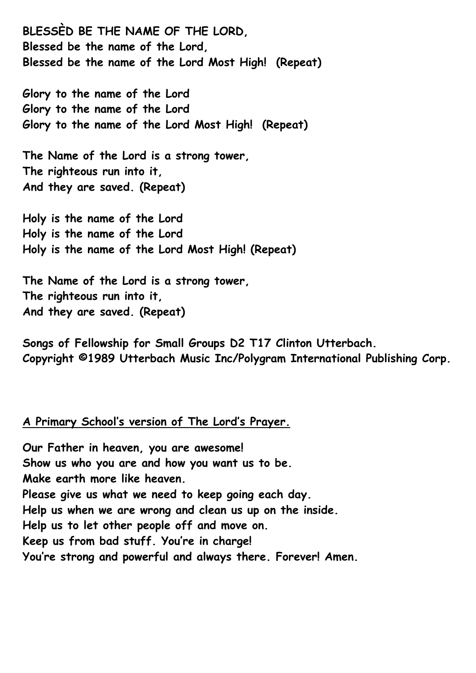**BLESSÈD BE THE NAME OF THE LORD, Blessed be the name of the Lord, Blessed be the name of the Lord Most High! (Repeat)**

**Glory to the name of the Lord Glory to the name of the Lord Glory to the name of the Lord Most High! (Repeat)**

**The Name of the Lord is a strong tower, The righteous run into it, And they are saved. (Repeat)**

**Holy is the name of the Lord Holy is the name of the Lord Holy is the name of the Lord Most High! (Repeat)**

**The Name of the Lord is a strong tower, The righteous run into it, And they are saved. (Repeat)**

**Songs of Fellowship for Small Groups D2 T17 Clinton Utterbach. Copyright ©1989 Utterbach Music Inc/Polygram International Publishing Corp.**

## **A Primary School's version of The Lord's Prayer.**

**Our Father in heaven, you are awesome! Show us who you are and how you want us to be. Make earth more like heaven. Please give us what we need to keep going each day. Help us when we are wrong and clean us up on the inside. Help us to let other people off and move on. Keep us from bad stuff. You're in charge! You're strong and powerful and always there. Forever! Amen.**